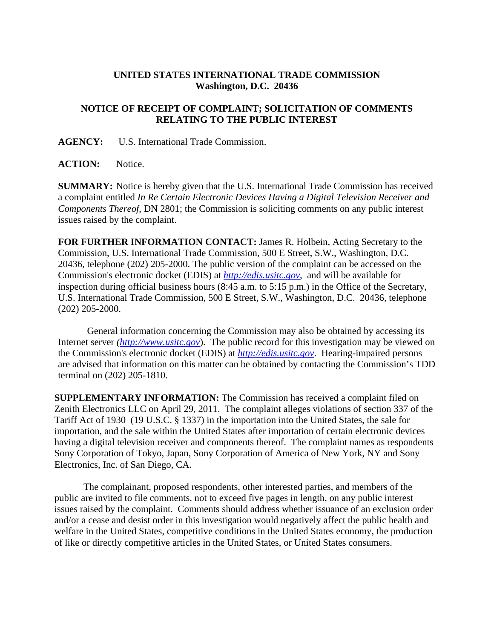## **UNITED STATES INTERNATIONAL TRADE COMMISSION Washington, D.C. 20436**

## **NOTICE OF RECEIPT OF COMPLAINT; SOLICITATION OF COMMENTS RELATING TO THE PUBLIC INTEREST**

**AGENCY:** U.S. International Trade Commission.

**ACTION:** Notice.

**SUMMARY:** Notice is hereby given that the U.S. International Trade Commission has received a complaint entitled *In Re Certain Electronic Devices Having a Digital Television Receiver and Components Thereof*, DN 2801; the Commission is soliciting comments on any public interest issues raised by the complaint.

**FOR FURTHER INFORMATION CONTACT:** James R. Holbein, Acting Secretary to the Commission, U.S. International Trade Commission, 500 E Street, S.W., Washington, D.C. 20436, telephone (202) 205-2000. The public version of the complaint can be accessed on the Commission's electronic docket (EDIS) at *http://edis.usitc.gov*,and will be available for inspection during official business hours (8:45 a.m. to 5:15 p.m.) in the Office of the Secretary, U.S. International Trade Commission, 500 E Street, S.W., Washington, D.C. 20436, telephone (202) 205-2000.

General information concerning the Commission may also be obtained by accessing its Internet server *(http://www.usitc.gov*). The public record for this investigation may be viewed on the Commission's electronic docket (EDIS) at *http://edis.usitc.gov*. Hearing-impaired persons are advised that information on this matter can be obtained by contacting the Commission's TDD terminal on (202) 205-1810.

**SUPPLEMENTARY INFORMATION:** The Commission has received a complaint filed on Zenith Electronics LLC on April 29, 2011. The complaint alleges violations of section 337 of the Tariff Act of 1930 (19 U.S.C. § 1337) in the importation into the United States, the sale for importation, and the sale within the United States after importation of certain electronic devices having a digital television receiver and components thereof. The complaint names as respondents Sony Corporation of Tokyo, Japan, Sony Corporation of America of New York, NY and Sony Electronics, Inc. of San Diego, CA.

 The complainant, proposed respondents, other interested parties, and members of the public are invited to file comments, not to exceed five pages in length, on any public interest issues raised by the complaint. Comments should address whether issuance of an exclusion order and/or a cease and desist order in this investigation would negatively affect the public health and welfare in the United States, competitive conditions in the United States economy, the production of like or directly competitive articles in the United States, or United States consumers.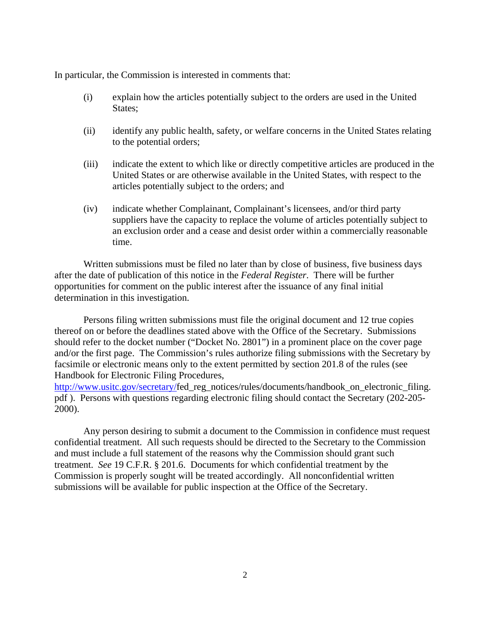In particular, the Commission is interested in comments that:

- (i) explain how the articles potentially subject to the orders are used in the United States:
- (ii) identify any public health, safety, or welfare concerns in the United States relating to the potential orders;
- (iii) indicate the extent to which like or directly competitive articles are produced in the United States or are otherwise available in the United States, with respect to the articles potentially subject to the orders; and
- (iv) indicate whether Complainant, Complainant's licensees, and/or third party suppliers have the capacity to replace the volume of articles potentially subject to an exclusion order and a cease and desist order within a commercially reasonable time.

 Written submissions must be filed no later than by close of business, five business days after the date of publication of this notice in the *Federal Register*. There will be further opportunities for comment on the public interest after the issuance of any final initial determination in this investigation.

 Persons filing written submissions must file the original document and 12 true copies thereof on or before the deadlines stated above with the Office of the Secretary. Submissions should refer to the docket number ("Docket No. 2801") in a prominent place on the cover page and/or the first page. The Commission's rules authorize filing submissions with the Secretary by facsimile or electronic means only to the extent permitted by section 201.8 of the rules (see Handbook for Electronic Filing Procedures,

http://www.usitc.gov/secretary/fed\_reg\_notices/rules/documents/handbook\_on\_electronic\_filing. pdf ). Persons with questions regarding electronic filing should contact the Secretary (202-205- 2000).

 Any person desiring to submit a document to the Commission in confidence must request confidential treatment. All such requests should be directed to the Secretary to the Commission and must include a full statement of the reasons why the Commission should grant such treatment. *See* 19 C.F.R. § 201.6. Documents for which confidential treatment by the Commission is properly sought will be treated accordingly. All nonconfidential written submissions will be available for public inspection at the Office of the Secretary.